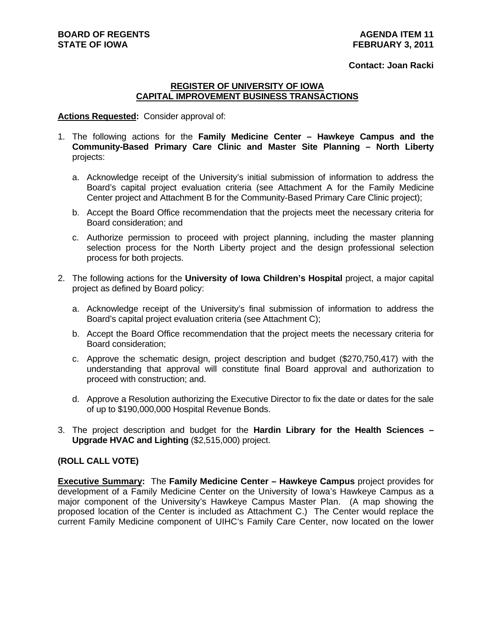#### **Contact: Joan Racki**

## **REGISTER OF UNIVERSITY OF IOWA CAPITAL IMPROVEMENT BUSINESS TRANSACTIONS**

#### **Actions Requested:** Consider approval of:

- 1. The following actions for the **Family Medicine Center Hawkeye Campus and the Community-Based Primary Care Clinic and Master Site Planning – North Liberty** projects:
	- a. Acknowledge receipt of the University's initial submission of information to address the Board's capital project evaluation criteria (see Attachment A for the Family Medicine Center project and Attachment B for the Community-Based Primary Care Clinic project);
	- b. Accept the Board Office recommendation that the projects meet the necessary criteria for Board consideration; and
	- c. Authorize permission to proceed with project planning, including the master planning selection process for the North Liberty project and the design professional selection process for both projects.
- 2. The following actions for the **University of Iowa Children's Hospital** project, a major capital project as defined by Board policy:
	- a. Acknowledge receipt of the University's final submission of information to address the Board's capital project evaluation criteria (see Attachment C);
	- b. Accept the Board Office recommendation that the project meets the necessary criteria for Board consideration;
	- c. Approve the schematic design, project description and budget (\$270,750,417) with the understanding that approval will constitute final Board approval and authorization to proceed with construction; and.
	- d. Approve a Resolution authorizing the Executive Director to fix the date or dates for the sale of up to \$190,000,000 Hospital Revenue Bonds.
- 3. The project description and budget for the **Hardin Library for the Health Sciences Upgrade HVAC and Lighting** (\$2,515,000) project.

## **(ROLL CALL VOTE)**

**Executive Summary:** The **Family Medicine Center – Hawkeye Campus** project provides for development of a Family Medicine Center on the University of Iowa's Hawkeye Campus as a major component of the University's Hawkeye Campus Master Plan. (A map showing the proposed location of the Center is included as Attachment C.) The Center would replace the current Family Medicine component of UIHC's Family Care Center, now located on the lower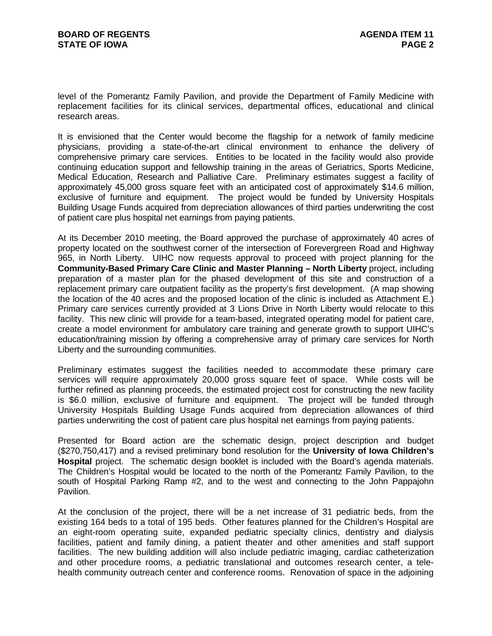level of the Pomerantz Family Pavilion, and provide the Department of Family Medicine with replacement facilities for its clinical services, departmental offices, educational and clinical research areas.

It is envisioned that the Center would become the flagship for a network of family medicine physicians, providing a state-of-the-art clinical environment to enhance the delivery of comprehensive primary care services. Entities to be located in the facility would also provide continuing education support and fellowship training in the areas of Geriatrics, Sports Medicine, Medical Education, Research and Palliative Care. Preliminary estimates suggest a facility of approximately 45,000 gross square feet with an anticipated cost of approximately \$14.6 million, exclusive of furniture and equipment. The project would be funded by University Hospitals Building Usage Funds acquired from depreciation allowances of third parties underwriting the cost of patient care plus hospital net earnings from paying patients.

At its December 2010 meeting, the Board approved the purchase of approximately 40 acres of property located on the southwest corner of the intersection of Forevergreen Road and Highway 965, in North Liberty. UIHC now requests approval to proceed with project planning for the **Community-Based Primary Care Clinic and Master Planning – North Liberty** project, including preparation of a master plan for the phased development of this site and construction of a replacement primary care outpatient facility as the property's first development. (A map showing the location of the 40 acres and the proposed location of the clinic is included as Attachment E.) Primary care services currently provided at 3 Lions Drive in North Liberty would relocate to this facility. This new clinic will provide for a team-based, integrated operating model for patient care, create a model environment for ambulatory care training and generate growth to support UIHC's education/training mission by offering a comprehensive array of primary care services for North Liberty and the surrounding communities.

Preliminary estimates suggest the facilities needed to accommodate these primary care services will require approximately 20,000 gross square feet of space. While costs will be further refined as planning proceeds, the estimated project cost for constructing the new facility is \$6.0 million, exclusive of furniture and equipment. The project will be funded through University Hospitals Building Usage Funds acquired from depreciation allowances of third parties underwriting the cost of patient care plus hospital net earnings from paying patients.

Presented for Board action are the schematic design, project description and budget (\$270,750,417) and a revised preliminary bond resolution for the **University of Iowa Children's Hospital** project. The schematic design booklet is included with the Board's agenda materials. The Children's Hospital would be located to the north of the Pomerantz Family Pavilion, to the south of Hospital Parking Ramp #2, and to the west and connecting to the John Pappajohn Pavilion.

At the conclusion of the project, there will be a net increase of 31 pediatric beds, from the existing 164 beds to a total of 195 beds. Other features planned for the Children's Hospital are an eight-room operating suite, expanded pediatric specialty clinics, dentistry and dialysis facilities, patient and family dining, a patient theater and other amenities and staff support facilities. The new building addition will also include pediatric imaging, cardiac catheterization and other procedure rooms, a pediatric translational and outcomes research center, a telehealth community outreach center and conference rooms. Renovation of space in the adjoining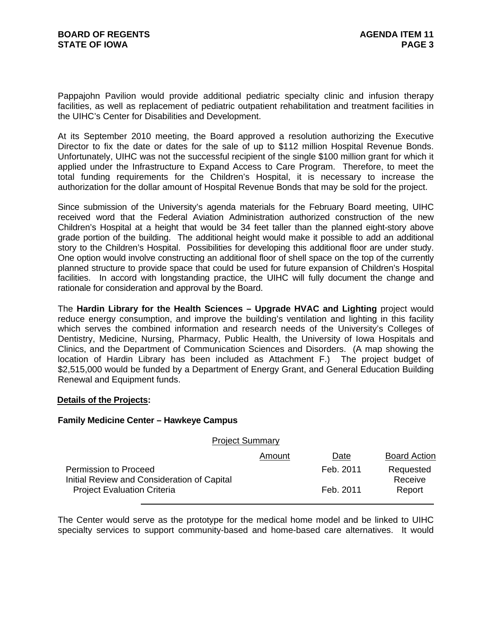Pappajohn Pavilion would provide additional pediatric specialty clinic and infusion therapy facilities, as well as replacement of pediatric outpatient rehabilitation and treatment facilities in the UIHC's Center for Disabilities and Development.

At its September 2010 meeting, the Board approved a resolution authorizing the Executive Director to fix the date or dates for the sale of up to \$112 million Hospital Revenue Bonds. Unfortunately, UIHC was not the successful recipient of the single \$100 million grant for which it applied under the Infrastructure to Expand Access to Care Program. Therefore, to meet the total funding requirements for the Children's Hospital, it is necessary to increase the authorization for the dollar amount of Hospital Revenue Bonds that may be sold for the project.

Since submission of the University's agenda materials for the February Board meeting, UIHC received word that the Federal Aviation Administration authorized construction of the new Children's Hospital at a height that would be 34 feet taller than the planned eight-story above grade portion of the building. The additional height would make it possible to add an additional story to the Children's Hospital. Possibilities for developing this additional floor are under study. One option would involve constructing an additional floor of shell space on the top of the currently planned structure to provide space that could be used for future expansion of Children's Hospital facilities. In accord with longstanding practice, the UIHC will fully document the change and rationale for consideration and approval by the Board.

The **Hardin Library for the Health Sciences – Upgrade HVAC and Lighting** project would reduce energy consumption, and improve the building's ventilation and lighting in this facility which serves the combined information and research needs of the University's Colleges of Dentistry, Medicine, Nursing, Pharmacy, Public Health, the University of Iowa Hospitals and Clinics, and the Department of Communication Sciences and Disorders. (A map showing the location of Hardin Library has been included as Attachment F.) The project budget of \$2,515,000 would be funded by a Department of Energy Grant, and General Education Building Renewal and Equipment funds.

## **Details of the Projects:**

#### **Family Medicine Center – Hawkeye Campus**

| <b>Project Summary</b>                                               |        |           |                      |
|----------------------------------------------------------------------|--------|-----------|----------------------|
|                                                                      | Amount | Date      | <b>Board Action</b>  |
| Permission to Proceed<br>Initial Review and Consideration of Capital |        | Feb. 2011 | Requested<br>Receive |
| <b>Project Evaluation Criteria</b>                                   |        | Feb. 2011 | Report               |

The Center would serve as the prototype for the medical home model and be linked to UIHC specialty services to support community-based and home-based care alternatives. It would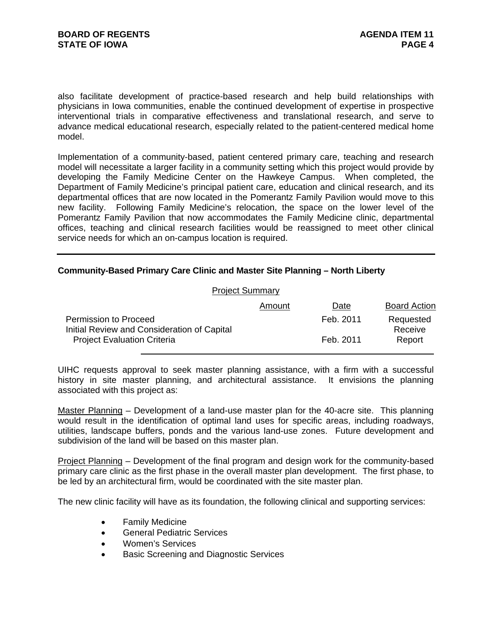also facilitate development of practice-based research and help build relationships with physicians in Iowa communities, enable the continued development of expertise in prospective interventional trials in comparative effectiveness and translational research, and serve to advance medical educational research, especially related to the patient-centered medical home model.

Implementation of a community-based, patient centered primary care, teaching and research model will necessitate a larger facility in a community setting which this project would provide by developing the Family Medicine Center on the Hawkeye Campus. When completed, the Department of Family Medicine's principal patient care, education and clinical research, and its departmental offices that are now located in the Pomerantz Family Pavilion would move to this new facility. Following Family Medicine's relocation, the space on the lower level of the Pomerantz Family Pavilion that now accommodates the Family Medicine clinic, departmental offices, teaching and clinical research facilities would be reassigned to meet other clinical service needs for which an on-campus location is required.

## **Community-Based Primary Care Clinic and Master Site Planning – North Liberty**

# Project Summary

|                                                                      | Amount | Date      | <b>Board Action</b>  |
|----------------------------------------------------------------------|--------|-----------|----------------------|
| Permission to Proceed<br>Initial Review and Consideration of Capital |        | Feb. 2011 | Requested<br>Receive |
| <b>Project Evaluation Criteria</b>                                   |        | Feb. 2011 | Report               |

UIHC requests approval to seek master planning assistance, with a firm with a successful history in site master planning, and architectural assistance. It envisions the planning associated with this project as:

Master Planning – Development of a land-use master plan for the 40-acre site. This planning would result in the identification of optimal land uses for specific areas, including roadways, utilities, landscape buffers, ponds and the various land-use zones. Future development and subdivision of the land will be based on this master plan.

Project Planning – Development of the final program and design work for the community-based primary care clinic as the first phase in the overall master plan development. The first phase, to be led by an architectural firm, would be coordinated with the site master plan.

The new clinic facility will have as its foundation, the following clinical and supporting services:

- Family Medicine
- **•** General Pediatric Services
- Women's Services
- Basic Screening and Diagnostic Services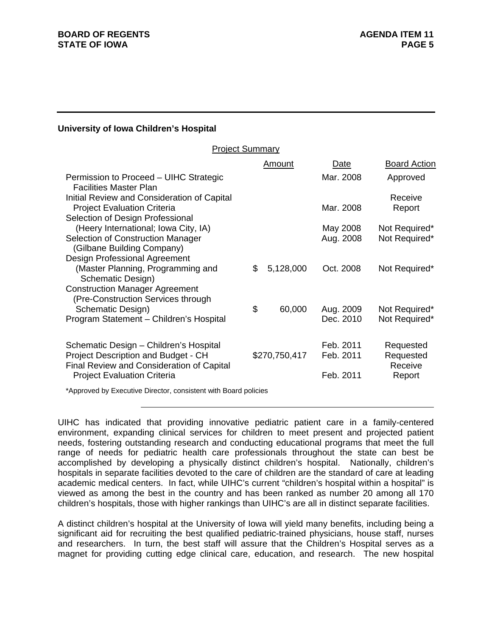# **University of Iowa Children's Hospital**

| <b>Project Summary</b>                                                                                                                                           |                 |                                     |                                             |
|------------------------------------------------------------------------------------------------------------------------------------------------------------------|-----------------|-------------------------------------|---------------------------------------------|
|                                                                                                                                                                  | Amount          | Date                                | <b>Board Action</b>                         |
| Permission to Proceed – UIHC Strategic<br><b>Facilities Master Plan</b>                                                                                          |                 | Mar. 2008                           | Approved                                    |
| Initial Review and Consideration of Capital<br><b>Project Evaluation Criteria</b><br>Selection of Design Professional                                            |                 | Mar. 2008                           | Receive<br>Report                           |
| (Heery International; Iowa City, IA)<br>Selection of Construction Manager<br>(Gilbane Building Company)                                                          |                 | May 2008<br>Aug. 2008               | Not Required*<br>Not Required*              |
| <b>Design Professional Agreement</b><br>(Master Planning, Programming and<br>Schematic Design)                                                                   | \$<br>5,128,000 | Oct. 2008                           | Not Required*                               |
| <b>Construction Manager Agreement</b><br>(Pre-Construction Services through<br>Schematic Design)<br>Program Statement - Children's Hospital                      | \$<br>60,000    | Aug. 2009<br>Dec. 2010              | Not Required*<br>Not Required*              |
| Schematic Design - Children's Hospital<br>Project Description and Budget - CH<br>Final Review and Consideration of Capital<br><b>Project Evaluation Criteria</b> | \$270,750,417   | Feb. 2011<br>Feb. 2011<br>Feb. 2011 | Requested<br>Requested<br>Receive<br>Report |
| *Approved by Executive Director, consistent with Board policies                                                                                                  |                 |                                     |                                             |

UIHC has indicated that providing innovative pediatric patient care in a family-centered environment, expanding clinical services for children to meet present and projected patient needs, fostering outstanding research and conducting educational programs that meet the full range of needs for pediatric health care professionals throughout the state can best be accomplished by developing a physically distinct children's hospital. Nationally, children's hospitals in separate facilities devoted to the care of children are the standard of care at leading academic medical centers. In fact, while UIHC's current "children's hospital within a hospital" is viewed as among the best in the country and has been ranked as number 20 among all 170 children's hospitals, those with higher rankings than UIHC's are all in distinct separate facilities.

A distinct children's hospital at the University of Iowa will yield many benefits, including being a significant aid for recruiting the best qualified pediatric-trained physicians, house staff, nurses and researchers. In turn, the best staff will assure that the Children's Hospital serves as a magnet for providing cutting edge clinical care, education, and research. The new hospital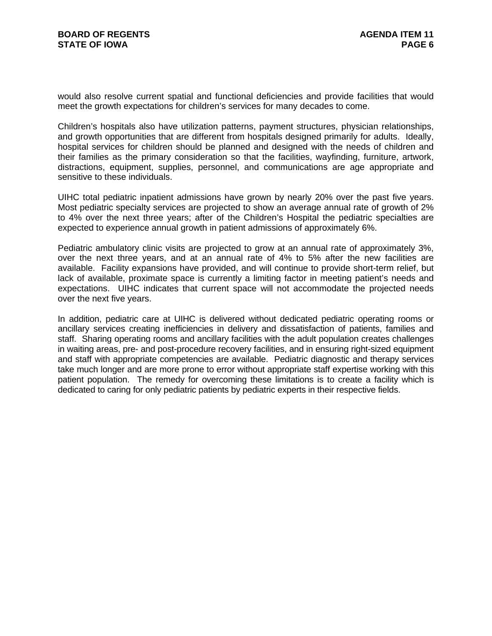would also resolve current spatial and functional deficiencies and provide facilities that would meet the growth expectations for children's services for many decades to come.

Children's hospitals also have utilization patterns, payment structures, physician relationships, and growth opportunities that are different from hospitals designed primarily for adults. Ideally, hospital services for children should be planned and designed with the needs of children and their families as the primary consideration so that the facilities, wayfinding, furniture, artwork, distractions, equipment, supplies, personnel, and communications are age appropriate and sensitive to these individuals.

UIHC total pediatric inpatient admissions have grown by nearly 20% over the past five years. Most pediatric specialty services are projected to show an average annual rate of growth of 2% to 4% over the next three years; after of the Children's Hospital the pediatric specialties are expected to experience annual growth in patient admissions of approximately 6%.

Pediatric ambulatory clinic visits are projected to grow at an annual rate of approximately 3%, over the next three years, and at an annual rate of 4% to 5% after the new facilities are available. Facility expansions have provided, and will continue to provide short-term relief, but lack of available, proximate space is currently a limiting factor in meeting patient's needs and expectations. UIHC indicates that current space will not accommodate the projected needs over the next five years.

In addition, pediatric care at UIHC is delivered without dedicated pediatric operating rooms or ancillary services creating inefficiencies in delivery and dissatisfaction of patients, families and staff. Sharing operating rooms and ancillary facilities with the adult population creates challenges in waiting areas, pre- and post-procedure recovery facilities, and in ensuring right-sized equipment and staff with appropriate competencies are available. Pediatric diagnostic and therapy services take much longer and are more prone to error without appropriate staff expertise working with this patient population. The remedy for overcoming these limitations is to create a facility which is dedicated to caring for only pediatric patients by pediatric experts in their respective fields.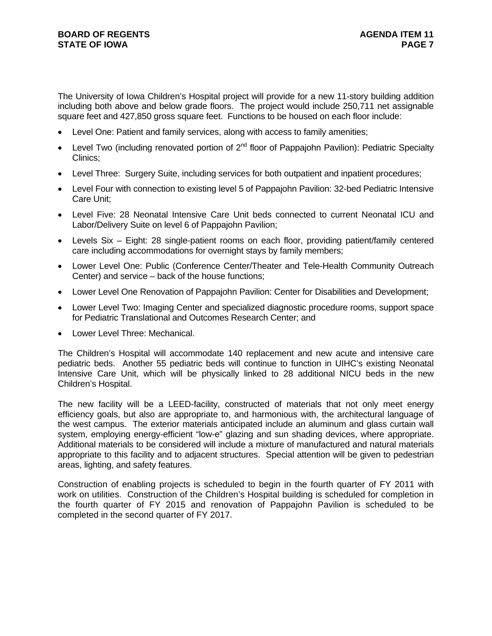The University of Iowa Children's Hospital project will provide for a new 11-story building addition including both above and below grade floors. The project would include 250,711 net assignable square feet and 427,850 gross square feet. Functions to be housed on each floor include:

- Level One: Patient and family services, along with access to family amenities;
- Level Two (including renovated portion of  $2^{nd}$  floor of Pappajohn Pavilion): Pediatric Specialty Clinics;
- Level Three: Surgery Suite, including services for both outpatient and inpatient procedures;
- Level Four with connection to existing level 5 of Pappajohn Pavilion: 32-bed Pediatric Intensive Care Unit;
- Level Five: 28 Neonatal Intensive Care Unit beds connected to current Neonatal ICU and Labor/Delivery Suite on level 6 of Pappajohn Pavilion;
- Levels Six Eight: 28 single-patient rooms on each floor, providing patient/family centered care including accommodations for overnight stays by family members;
- Lower Level One: Public (Conference Center/Theater and Tele-Health Community Outreach Center) and service – back of the house functions;
- Lower Level One Renovation of Pappajohn Pavilion: Center for Disabilities and Development;
- Lower Level Two: Imaging Center and specialized diagnostic procedure rooms, support space for Pediatric Translational and Outcomes Research Center; and
- **.** Lower Level Three: Mechanical.

The Children's Hospital will accommodate 140 replacement and new acute and intensive care pediatric beds. Another 55 pediatric beds will continue to function in UIHC's existing Neonatal Intensive Care Unit, which will be physically linked to 28 additional NICU beds in the new Children's Hospital.

The new facility will be a LEED-facility, constructed of materials that not only meet energy efficiency goals, but also are appropriate to, and harmonious with, the architectural language of the west campus. The exterior materials anticipated include an aluminum and glass curtain wall system, employing energy-efficient "low-e" glazing and sun shading devices, where appropriate. Additional materials to be considered will include a mixture of manufactured and natural materials appropriate to this facility and to adjacent structures. Special attention will be given to pedestrian areas, lighting, and safety features.

Construction of enabling projects is scheduled to begin in the fourth quarter of FY 2011 with work on utilities. Construction of the Children's Hospital building is scheduled for completion in the fourth quarter of FY 2015 and renovation of Pappajohn Pavilion is scheduled to be completed in the second quarter of FY 2017.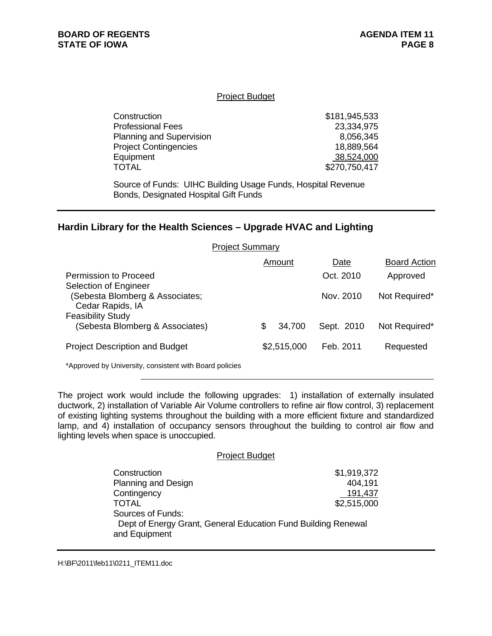## Project Budget

| Construction                    | \$181,945,533 |
|---------------------------------|---------------|
| <b>Professional Fees</b>        | 23,334,975    |
| <b>Planning and Supervision</b> | 8,056,345     |
| <b>Project Contingencies</b>    | 18,889,564    |
| Equipment                       | 38,524,000    |
| TOTAL                           | \$270,750,417 |

Source of Funds: UIHC Building Usage Funds, Hospital Revenue Bonds, Designated Hospital Gift Funds

# **Hardin Library for the Health Sciences – Upgrade HVAC and Lighting**

| <b>Project Summary</b>                                                       |              |            |                     |
|------------------------------------------------------------------------------|--------------|------------|---------------------|
|                                                                              | Amount       | Date       | <b>Board Action</b> |
| Permission to Proceed                                                        |              | Oct. 2010  | Approved            |
| Selection of Engineer<br>(Sebesta Blomberg & Associates;<br>Cedar Rapids, IA |              | Nov. 2010  | Not Required*       |
| <b>Feasibility Study</b>                                                     |              |            |                     |
| (Sebesta Blomberg & Associates)                                              | \$<br>34,700 | Sept. 2010 | Not Required*       |
| <b>Project Description and Budget</b>                                        | \$2,515,000  | Feb. 2011  | Requested           |
| *Approved by University, consistent with Board policies                      |              |            |                     |

The project work would include the following upgrades: 1) installation of externally insulated ductwork, 2) installation of Variable Air Volume controllers to refine air flow control, 3) replacement of existing lighting systems throughout the building with a more efficient fixture and standardized lamp, and 4) installation of occupancy sensors throughout the building to control air flow and lighting levels when space is unoccupied.

#### Project Budget

| Construction                                                  | \$1,919,372 |
|---------------------------------------------------------------|-------------|
| <b>Planning and Design</b>                                    | 404,191     |
| Contingency                                                   | 191,437     |
| TOTAL                                                         | \$2,515,000 |
| Sources of Funds:                                             |             |
| Dept of Energy Grant, General Education Fund Building Renewal |             |
| and Equipment                                                 |             |

H:\BF\2011\feb11\0211\_ITEM11.doc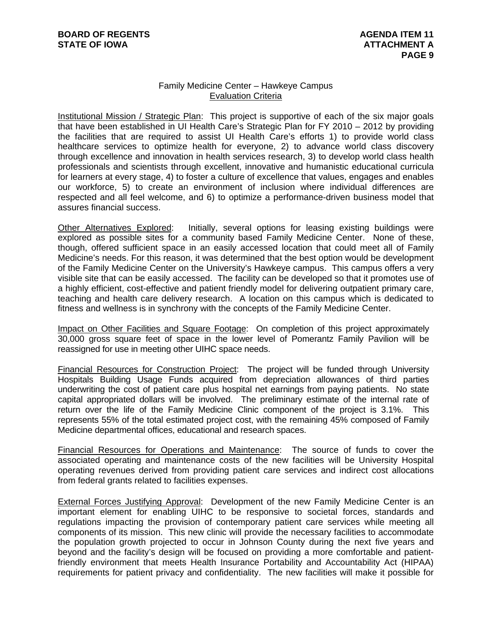## Family Medicine Center – Hawkeye Campus Evaluation Criteria

Institutional Mission / Strategic Plan: This project is supportive of each of the six major goals that have been established in UI Health Care's Strategic Plan for FY 2010 – 2012 by providing the facilities that are required to assist UI Health Care's efforts 1) to provide world class healthcare services to optimize health for everyone, 2) to advance world class discovery through excellence and innovation in health services research, 3) to develop world class health professionals and scientists through excellent, innovative and humanistic educational curricula for learners at every stage, 4) to foster a culture of excellence that values, engages and enables our workforce, 5) to create an environment of inclusion where individual differences are respected and all feel welcome, and 6) to optimize a performance-driven business model that assures financial success.

Other Alternatives Explored: Initially, several options for leasing existing buildings were explored as possible sites for a community based Family Medicine Center. None of these, though, offered sufficient space in an easily accessed location that could meet all of Family Medicine's needs. For this reason, it was determined that the best option would be development of the Family Medicine Center on the University's Hawkeye campus. This campus offers a very visible site that can be easily accessed. The facility can be developed so that it promotes use of a highly efficient, cost-effective and patient friendly model for delivering outpatient primary care, teaching and health care delivery research. A location on this campus which is dedicated to fitness and wellness is in synchrony with the concepts of the Family Medicine Center.

Impact on Other Facilities and Square Footage: On completion of this project approximately 30,000 gross square feet of space in the lower level of Pomerantz Family Pavilion will be reassigned for use in meeting other UIHC space needs.

Financial Resources for Construction Project: The project will be funded through University Hospitals Building Usage Funds acquired from depreciation allowances of third parties underwriting the cost of patient care plus hospital net earnings from paying patients. No state capital appropriated dollars will be involved. The preliminary estimate of the internal rate of return over the life of the Family Medicine Clinic component of the project is 3.1%. This represents 55% of the total estimated project cost, with the remaining 45% composed of Family Medicine departmental offices, educational and research spaces.

Financial Resources for Operations and Maintenance: The source of funds to cover the associated operating and maintenance costs of the new facilities will be University Hospital operating revenues derived from providing patient care services and indirect cost allocations from federal grants related to facilities expenses.

External Forces Justifying Approval: Development of the new Family Medicine Center is an important element for enabling UIHC to be responsive to societal forces, standards and regulations impacting the provision of contemporary patient care services while meeting all components of its mission. This new clinic will provide the necessary facilities to accommodate the population growth projected to occur in Johnson County during the next five years and beyond and the facility's design will be focused on providing a more comfortable and patientfriendly environment that meets Health Insurance Portability and Accountability Act (HIPAA) requirements for patient privacy and confidentiality. The new facilities will make it possible for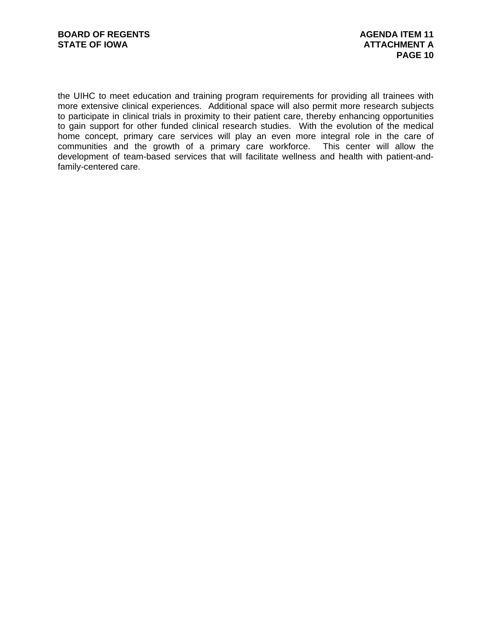the UIHC to meet education and training program requirements for providing all trainees with more extensive clinical experiences. Additional space will also permit more research subjects to participate in clinical trials in proximity to their patient care, thereby enhancing opportunities to gain support for other funded clinical research studies. With the evolution of the medical home concept, primary care services will play an even more integral role in the care of communities and the growth of a primary care workforce. This center will allow the development of team-based services that will facilitate wellness and health with patient-andfamily-centered care.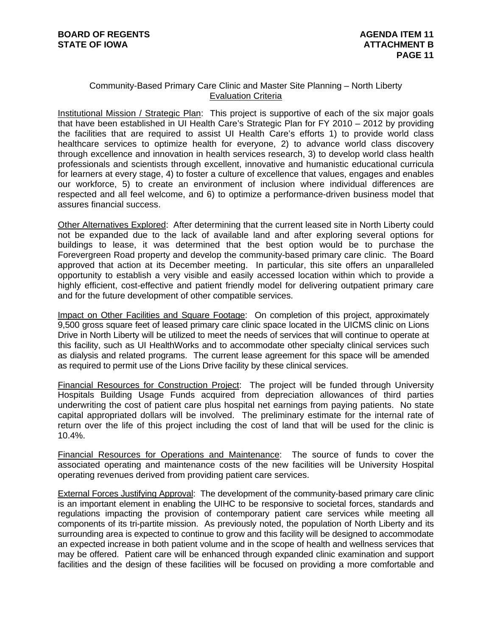# Community-Based Primary Care Clinic and Master Site Planning – North Liberty Evaluation Criteria

Institutional Mission / Strategic Plan: This project is supportive of each of the six major goals that have been established in UI Health Care's Strategic Plan for FY 2010 – 2012 by providing the facilities that are required to assist UI Health Care's efforts 1) to provide world class healthcare services to optimize health for everyone, 2) to advance world class discovery through excellence and innovation in health services research, 3) to develop world class health professionals and scientists through excellent, innovative and humanistic educational curricula for learners at every stage, 4) to foster a culture of excellence that values, engages and enables our workforce, 5) to create an environment of inclusion where individual differences are respected and all feel welcome, and 6) to optimize a performance-driven business model that assures financial success.

Other Alternatives Explored: After determining that the current leased site in North Liberty could not be expanded due to the lack of available land and after exploring several options for buildings to lease, it was determined that the best option would be to purchase the Forevergreen Road property and develop the community-based primary care clinic. The Board approved that action at its December meeting. In particular, this site offers an unparalleled opportunity to establish a very visible and easily accessed location within which to provide a highly efficient, cost-effective and patient friendly model for delivering outpatient primary care and for the future development of other compatible services.

Impact on Other Facilities and Square Footage: On completion of this project, approximately 9,500 gross square feet of leased primary care clinic space located in the UICMS clinic on Lions Drive in North Liberty will be utilized to meet the needs of services that will continue to operate at this facility, such as UI HealthWorks and to accommodate other specialty clinical services such as dialysis and related programs. The current lease agreement for this space will be amended as required to permit use of the Lions Drive facility by these clinical services.

Financial Resources for Construction Project: The project will be funded through University Hospitals Building Usage Funds acquired from depreciation allowances of third parties underwriting the cost of patient care plus hospital net earnings from paying patients. No state capital appropriated dollars will be involved. The preliminary estimate for the internal rate of return over the life of this project including the cost of land that will be used for the clinic is 10.4%.

Financial Resources for Operations and Maintenance: The source of funds to cover the associated operating and maintenance costs of the new facilities will be University Hospital operating revenues derived from providing patient care services.

External Forces Justifying Approval: The development of the community-based primary care clinic is an important element in enabling the UIHC to be responsive to societal forces, standards and regulations impacting the provision of contemporary patient care services while meeting all components of its tri-partite mission. As previously noted, the population of North Liberty and its surrounding area is expected to continue to grow and this facility will be designed to accommodate an expected increase in both patient volume and in the scope of health and wellness services that may be offered. Patient care will be enhanced through expanded clinic examination and support facilities and the design of these facilities will be focused on providing a more comfortable and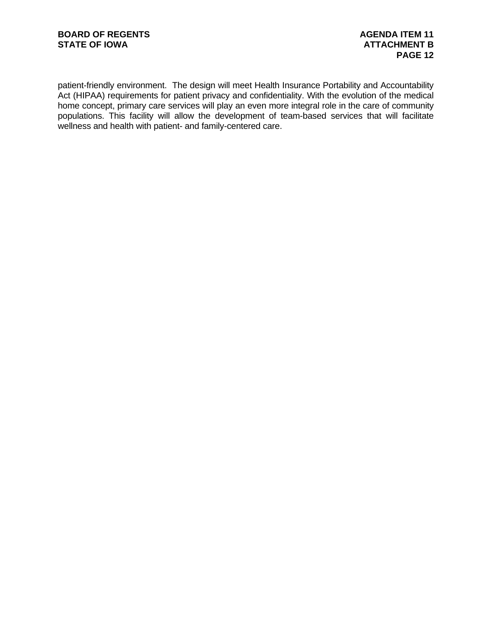# **BOARD OF REGENTS STATE OF IOWA**

patient-friendly environment. The design will meet Health Insurance Portability and Accountability Act (HIPAA) requirements for patient privacy and confidentiality. With the evolution of the medical home concept, primary care services will play an even more integral role in the care of community populations. This facility will allow the development of team-based services that will facilitate wellness and health with patient- and family-centered care.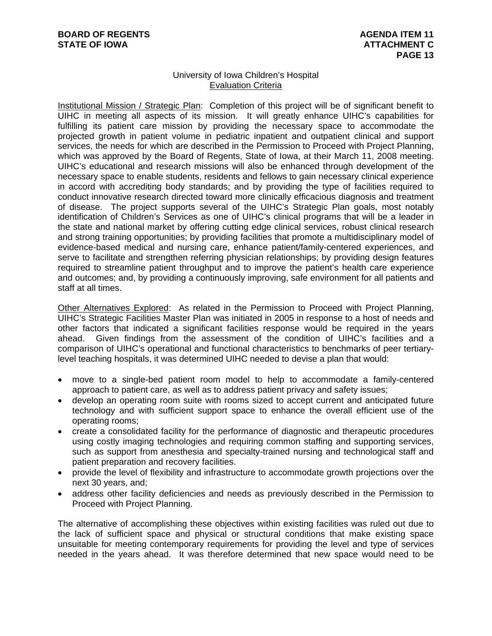# University of Iowa Children's Hospital Evaluation Criteria

Institutional Mission / Strategic Plan: Completion of this project will be of significant benefit to UIHC in meeting all aspects of its mission. It will greatly enhance UIHC's capabilities for fulfilling its patient care mission by providing the necessary space to accommodate the projected growth in patient volume in pediatric inpatient and outpatient clinical and support services, the needs for which are described in the Permission to Proceed with Project Planning, which was approved by the Board of Regents, State of Iowa, at their March 11, 2008 meeting. UIHC's educational and research missions will also be enhanced through development of the necessary space to enable students, residents and fellows to gain necessary clinical experience in accord with accrediting body standards; and by providing the type of facilities required to conduct innovative research directed toward more clinically efficacious diagnosis and treatment of disease. The project supports several of the UIHC's Strategic Plan goals, most notably identification of Children's Services as one of UIHC's clinical programs that will be a leader in the state and national market by offering cutting edge clinical services, robust clinical research and strong training opportunities; by providing facilities that promote a multidisciplinary model of evidence-based medical and nursing care, enhance patient/family-centered experiences, and serve to facilitate and strengthen referring physician relationships; by providing design features required to streamline patient throughput and to improve the patient's health care experience and outcomes; and, by providing a continuously improving, safe environment for all patients and staff at all times.

Other Alternatives Explored: As related in the Permission to Proceed with Project Planning, UIHC's Strategic Facilities Master Plan was initiated in 2005 in response to a host of needs and other factors that indicated a significant facilities response would be required in the years ahead. Given findings from the assessment of the condition of UIHC's facilities and a comparison of UIHC's operational and functional characteristics to benchmarks of peer tertiarylevel teaching hospitals, it was determined UIHC needed to devise a plan that would:

- move to a single-bed patient room model to help to accommodate a family-centered approach to patient care, as well as to address patient privacy and safety issues;
- develop an operating room suite with rooms sized to accept current and anticipated future technology and with sufficient support space to enhance the overall efficient use of the operating rooms;
- create a consolidated facility for the performance of diagnostic and therapeutic procedures using costly imaging technologies and requiring common staffing and supporting services, such as support from anesthesia and specialty-trained nursing and technological staff and patient preparation and recovery facilities.
- provide the level of flexibility and infrastructure to accommodate growth projections over the next 30 years, and;
- address other facility deficiencies and needs as previously described in the Permission to Proceed with Project Planning.

The alternative of accomplishing these objectives within existing facilities was ruled out due to the lack of sufficient space and physical or structural conditions that make existing space unsuitable for meeting contemporary requirements for providing the level and type of services needed in the years ahead. It was therefore determined that new space would need to be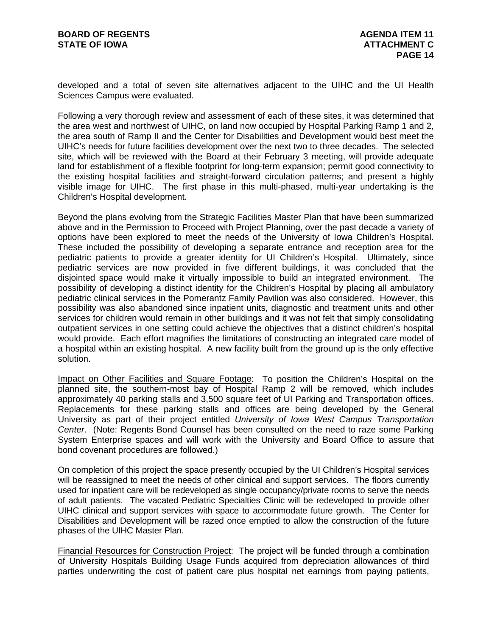developed and a total of seven site alternatives adjacent to the UIHC and the UI Health Sciences Campus were evaluated.

Following a very thorough review and assessment of each of these sites, it was determined that the area west and northwest of UIHC, on land now occupied by Hospital Parking Ramp 1 and 2, the area south of Ramp II and the Center for Disabilities and Development would best meet the UIHC's needs for future facilities development over the next two to three decades. The selected site, which will be reviewed with the Board at their February 3 meeting, will provide adequate land for establishment of a flexible footprint for long-term expansion; permit good connectivity to the existing hospital facilities and straight-forward circulation patterns; and present a highly visible image for UIHC. The first phase in this multi-phased, multi-year undertaking is the Children's Hospital development.

Beyond the plans evolving from the Strategic Facilities Master Plan that have been summarized above and in the Permission to Proceed with Project Planning, over the past decade a variety of options have been explored to meet the needs of the University of Iowa Children's Hospital. These included the possibility of developing a separate entrance and reception area for the pediatric patients to provide a greater identity for UI Children's Hospital. Ultimately, since pediatric services are now provided in five different buildings, it was concluded that the disjointed space would make it virtually impossible to build an integrated environment. The possibility of developing a distinct identity for the Children's Hospital by placing all ambulatory pediatric clinical services in the Pomerantz Family Pavilion was also considered. However, this possibility was also abandoned since inpatient units, diagnostic and treatment units and other services for children would remain in other buildings and it was not felt that simply consolidating outpatient services in one setting could achieve the objectives that a distinct children's hospital would provide. Each effort magnifies the limitations of constructing an integrated care model of a hospital within an existing hospital. A new facility built from the ground up is the only effective solution.

Impact on Other Facilities and Square Footage: To position the Children's Hospital on the planned site, the southern-most bay of Hospital Ramp 2 will be removed, which includes approximately 40 parking stalls and 3,500 square feet of UI Parking and Transportation offices. Replacements for these parking stalls and offices are being developed by the General University as part of their project entitled *University of Iowa West Campus Transportation Center*. (Note: Regents Bond Counsel has been consulted on the need to raze some Parking System Enterprise spaces and will work with the University and Board Office to assure that bond covenant procedures are followed.)

On completion of this project the space presently occupied by the UI Children's Hospital services will be reassigned to meet the needs of other clinical and support services. The floors currently used for inpatient care will be redeveloped as single occupancy/private rooms to serve the needs of adult patients. The vacated Pediatric Specialties Clinic will be redeveloped to provide other UIHC clinical and support services with space to accommodate future growth. The Center for Disabilities and Development will be razed once emptied to allow the construction of the future phases of the UIHC Master Plan.

Financial Resources for Construction Project: The project will be funded through a combination of University Hospitals Building Usage Funds acquired from depreciation allowances of third parties underwriting the cost of patient care plus hospital net earnings from paying patients,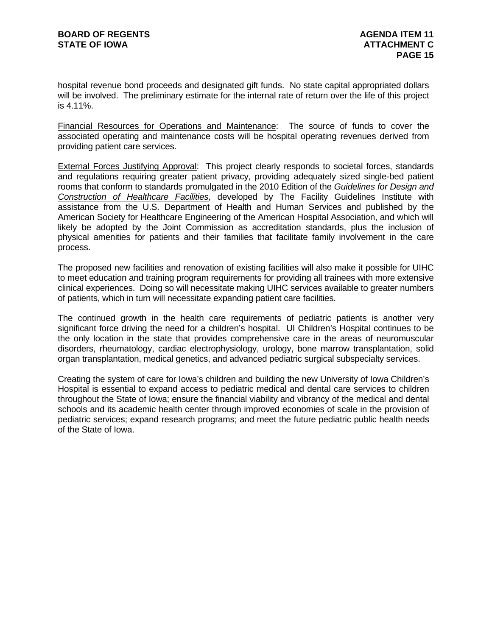hospital revenue bond proceeds and designated gift funds. No state capital appropriated dollars will be involved. The preliminary estimate for the internal rate of return over the life of this project is 4.11%.

Financial Resources for Operations and Maintenance: The source of funds to cover the associated operating and maintenance costs will be hospital operating revenues derived from providing patient care services.

External Forces Justifying Approval: This project clearly responds to societal forces, standards and regulations requiring greater patient privacy, providing adequately sized single-bed patient rooms that conform to standards promulgated in the 2010 Edition of the *Guidelines for Design and Construction of Healthcare Facilities*, developed by The Facility Guidelines Institute with assistance from the U.S. Department of Health and Human Services and published by the American Society for Healthcare Engineering of the American Hospital Association, and which will likely be adopted by the Joint Commission as accreditation standards, plus the inclusion of physical amenities for patients and their families that facilitate family involvement in the care process.

The proposed new facilities and renovation of existing facilities will also make it possible for UIHC to meet education and training program requirements for providing all trainees with more extensive clinical experiences. Doing so will necessitate making UIHC services available to greater numbers of patients, which in turn will necessitate expanding patient care facilities.

The continued growth in the health care requirements of pediatric patients is another very significant force driving the need for a children's hospital. UI Children's Hospital continues to be the only location in the state that provides comprehensive care in the areas of neuromuscular disorders, rheumatology, cardiac electrophysiology, urology, bone marrow transplantation, solid organ transplantation, medical genetics, and advanced pediatric surgical subspecialty services.

Creating the system of care for Iowa's children and building the new University of Iowa Children's Hospital is essential to expand access to pediatric medical and dental care services to children throughout the State of Iowa; ensure the financial viability and vibrancy of the medical and dental schools and its academic health center through improved economies of scale in the provision of pediatric services; expand research programs; and meet the future pediatric public health needs of the State of Iowa.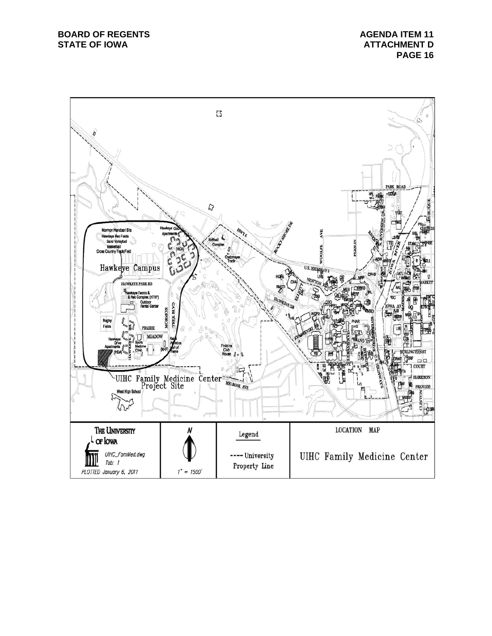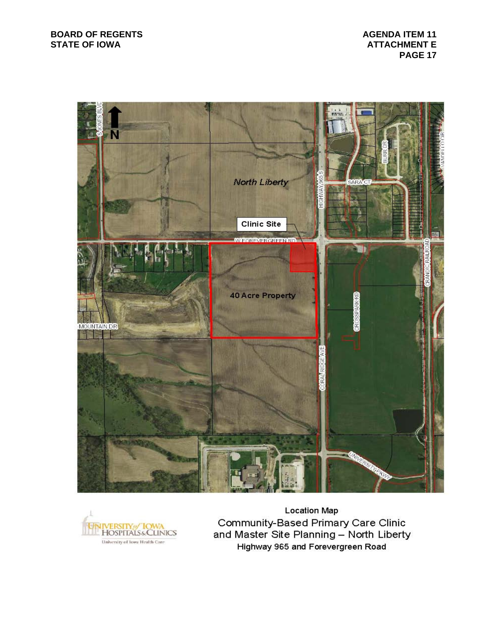



**Location Map** Community-Based Primary Care Clinic and Master Site Planning - North Liberty Highway 965 and Forevergreen Road